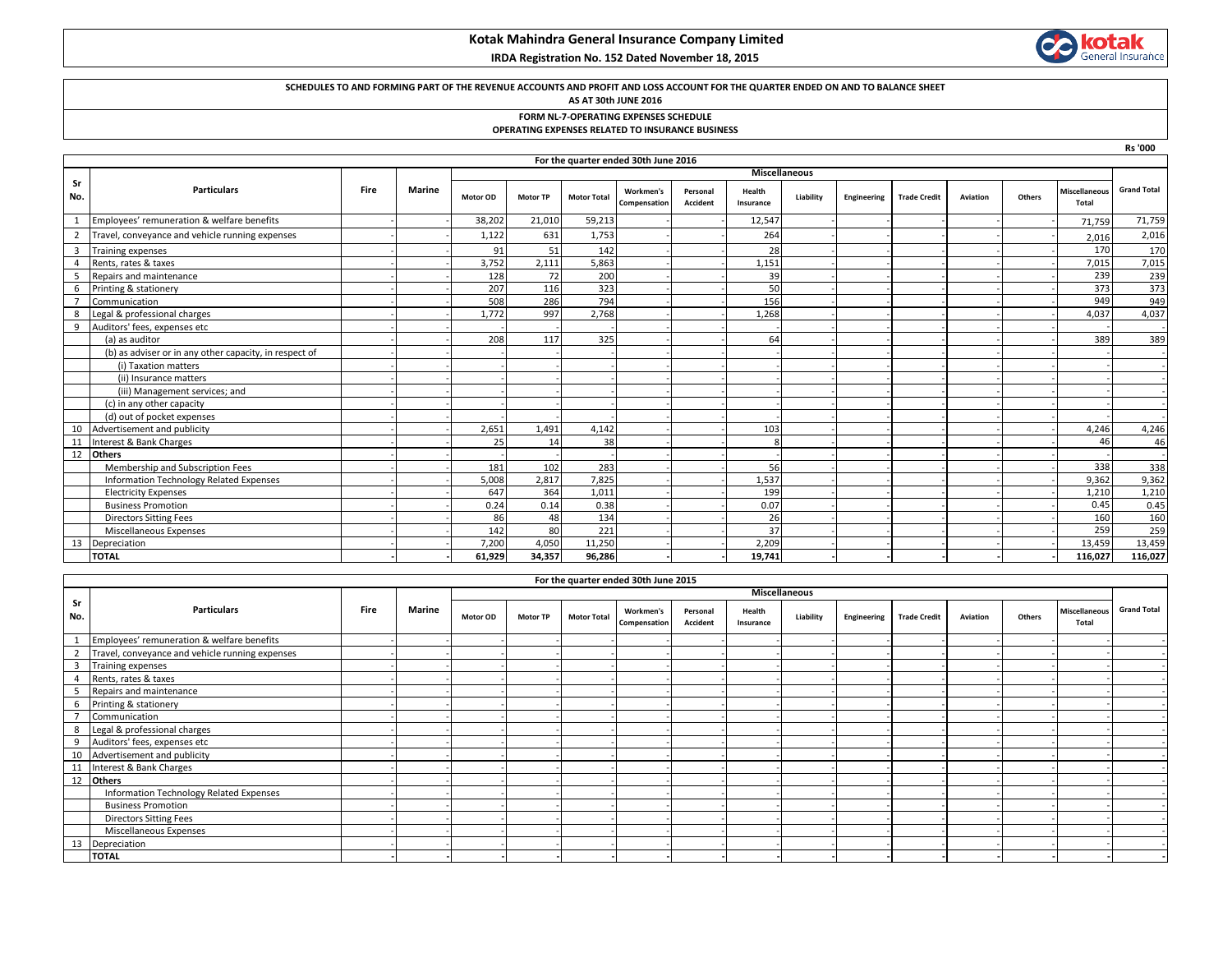# **Kotak Mahindra General Insurance Company Limited**

 **IRDA Registration No. 152 Dated November 18, 2015**



### **SCHEDULES TO AND FORMING PART OF THE REVENUE ACCOUNTS AND PROFIT AND LOSS ACCOUNT FOR THE QUARTER ENDED ON AND TO BALANCE SHEET**

## **AS AT 30th JUNE 2016**

**FORM NL-7-OPERATING EXPENSES SCHEDULE**

#### **OPERATING EXPENSES RELATED TO INSURANCE BUSINESS**

|                         |                                                        |      |        |          |                 |                    |                           |                             |                     |                      |             |                     |          |        |                               | <b>Rs '000</b>     |
|-------------------------|--------------------------------------------------------|------|--------|----------|-----------------|--------------------|---------------------------|-----------------------------|---------------------|----------------------|-------------|---------------------|----------|--------|-------------------------------|--------------------|
|                         | For the quarter ended 30th June 2016                   |      |        |          |                 |                    |                           |                             |                     |                      |             |                     |          |        |                               |                    |
|                         |                                                        |      |        |          |                 |                    |                           |                             |                     | <b>Miscellaneous</b> |             |                     |          |        |                               |                    |
| Sr<br>No.               | <b>Particulars</b>                                     | Fire | Marine | Motor OD | <b>Motor TP</b> | <b>Motor Total</b> | Workmen's<br>Compensation | Personal<br><b>Accident</b> | Health<br>Insurance | Liability            | Engineering | <b>Trade Credit</b> | Aviation | Others | <b>Miscellaneous</b><br>Total | <b>Grand Total</b> |
|                         | Employees' remuneration & welfare benefits             |      |        | 38,202   | 21,010          | 59,213             |                           |                             | 12,547              |                      |             |                     |          |        | 71.759                        | 71,759             |
| $\overline{2}$          | Travel, conveyance and vehicle running expenses        |      |        | 1,122    | 631             | 1,753              |                           |                             | 264                 |                      |             |                     |          |        | 2,016                         | 2,016              |
| $\overline{\mathbf{3}}$ | Training expenses                                      |      |        | 91       | 51              | 142                |                           |                             | 28                  |                      |             |                     |          |        | 170                           | 170                |
| $\overline{4}$          | Rents, rates & taxes                                   |      |        | 3.752    | 2.111           | 5.863              |                           |                             | 1.151               |                      |             |                     |          |        | 7.015                         | 7,015              |
| 5                       | Repairs and maintenance                                |      |        | 128      | 72              | 200                |                           |                             | 39                  |                      |             |                     |          |        | 239                           | 239                |
| 6                       | Printing & stationery                                  |      |        | 207      | 116             | 323                |                           |                             | 50                  |                      |             |                     |          |        | 373                           | 373                |
| $\overline{7}$          | Communication                                          |      |        | 508      | 286             | 794                |                           |                             | 156                 |                      |             |                     |          |        | 949                           | 949                |
| 8                       | Legal & professional charges                           |      |        | 1.772    | 997             | 2.768              |                           |                             | 1.268               |                      |             |                     |          |        | 4,037                         | 4,037              |
| 9                       | Auditors' fees, expenses etc                           |      |        |          |                 |                    |                           |                             |                     |                      |             |                     |          |        |                               |                    |
|                         | (a) as auditor                                         |      |        | 208      | 117             | 325                |                           |                             | 64                  |                      |             |                     |          |        | 389                           | 389                |
|                         | (b) as adviser or in any other capacity, in respect of |      |        |          |                 |                    |                           |                             |                     |                      |             |                     |          |        |                               |                    |
|                         | (i) Taxation matters                                   |      |        |          |                 |                    |                           |                             |                     |                      |             |                     |          |        |                               |                    |
|                         | (ii) Insurance matters                                 |      |        |          |                 |                    |                           |                             |                     |                      |             |                     |          |        |                               |                    |
|                         | (iii) Management services; and                         |      |        |          |                 |                    |                           |                             |                     |                      |             |                     |          |        |                               |                    |
|                         | (c) in any other capacity                              |      |        |          |                 |                    |                           |                             |                     |                      |             |                     |          |        |                               |                    |
|                         | (d) out of pocket expenses                             |      |        |          |                 |                    |                           |                             |                     |                      |             |                     |          |        |                               |                    |
| 10                      | Advertisement and publicity                            |      |        | 2,651    | 1,491           | 4,142              |                           |                             | 103                 |                      |             |                     |          |        | 4,246                         | 4,246              |
| 11                      | Interest & Bank Charges                                |      |        | 25       | 14              | 38                 |                           |                             | 8                   |                      |             |                     |          |        | 46                            | 46                 |
| 12                      | <b>Others</b>                                          |      |        |          |                 |                    |                           |                             |                     |                      |             |                     |          |        |                               |                    |
|                         | Membership and Subscription Fees                       |      |        | 181      | 102             | 283                |                           |                             | 56                  |                      |             |                     |          |        | 338                           | 338                |
|                         | Information Technology Related Expenses                |      |        | 5.008    | 2,817           | 7,825              |                           |                             | 1,537               |                      |             |                     |          |        | 9,362                         | 9,362              |
|                         | <b>Electricity Expenses</b>                            |      |        | 647      | 364             | 1,011              |                           |                             | 199                 |                      |             |                     |          |        | 1.210                         | 1,210              |
|                         | <b>Business Promotion</b>                              |      |        | 0.24     | 0.14            | 0.38               |                           |                             | 0.07                |                      |             |                     |          |        | 0.45                          | 0.45               |
|                         | <b>Directors Sitting Fees</b>                          |      |        | 86       | 48              | 134                |                           |                             | 26                  |                      |             |                     |          |        | 160                           | 160                |
|                         | Miscellaneous Expenses                                 |      |        | 142      | 80              | 221                |                           |                             | 37                  |                      |             |                     |          |        | 259                           | 259                |
| 13                      | Depreciation                                           |      |        | 7,200    | 4,050           | 11,250             |                           |                             | 2,209               |                      |             |                     |          |        | 13.459                        | 13,459             |
|                         | <b>TOTAL</b>                                           |      |        | 61,929   | 34,357          | 96,286             |                           |                             | 19,741              |                      |             |                     |          |        | 116,027                       | 116,027            |

|                | For the quarter ended 30th June 2015            |      |        |               |                 |                    |                           |                      |                     |           |             |                     |          |        |                        |                    |
|----------------|-------------------------------------------------|------|--------|---------------|-----------------|--------------------|---------------------------|----------------------|---------------------|-----------|-------------|---------------------|----------|--------|------------------------|--------------------|
|                | <b>Particulars</b>                              | Fire | Marine | Miscellaneous |                 |                    |                           |                      |                     |           |             |                     |          |        |                        |                    |
| Sr<br>No.      |                                                 |      |        | Motor OD      | <b>Motor TP</b> | <b>Motor Total</b> | Workmen's<br>Compensation | Personal<br>Accident | Health<br>Insurance | Liability | Engineering | <b>Trade Credit</b> | Aviation | Others | Miscellaneous<br>Total | <b>Grand Total</b> |
|                | Employees' remuneration & welfare benefits      |      |        |               |                 |                    |                           |                      |                     |           |             |                     |          |        |                        |                    |
| $\overline{2}$ | Travel, conveyance and vehicle running expenses |      |        |               |                 |                    |                           |                      |                     |           |             |                     |          |        |                        |                    |
| $\overline{3}$ | <b>Training expenses</b>                        |      |        |               |                 |                    |                           |                      |                     |           |             |                     |          |        |                        |                    |
|                | Rents, rates & taxes                            |      |        |               |                 |                    |                           |                      |                     |           |             |                     |          |        |                        |                    |
| 5              | Repairs and maintenance                         |      |        |               |                 |                    |                           |                      |                     |           |             |                     |          |        |                        |                    |
| 6              | Printing & stationery                           |      |        |               |                 |                    |                           |                      |                     |           |             |                     |          |        |                        |                    |
| -7             | Communication                                   |      |        |               |                 |                    |                           |                      |                     |           |             |                     |          |        |                        |                    |
| 8              | Legal & professional charges                    |      |        |               |                 |                    |                           |                      |                     |           |             |                     |          |        |                        |                    |
| 9              | Auditors' fees, expenses etc                    |      |        |               |                 |                    |                           |                      |                     |           |             |                     |          |        |                        |                    |
| 10             | Advertisement and publicity                     |      |        |               |                 |                    |                           |                      |                     |           |             |                     |          |        |                        |                    |
| 11             | Interest & Bank Charges                         |      |        |               |                 |                    |                           |                      |                     |           |             |                     |          |        |                        |                    |
|                | 12 Others                                       |      |        |               |                 |                    |                           |                      |                     |           |             |                     |          |        |                        |                    |
|                | Information Technology Related Expenses         |      |        |               |                 |                    |                           |                      |                     |           |             |                     |          |        |                        |                    |
|                | <b>Business Promotion</b>                       |      |        |               |                 |                    |                           |                      |                     |           |             |                     |          |        |                        |                    |
|                | <b>Directors Sitting Fees</b>                   |      |        |               |                 |                    |                           |                      |                     |           |             |                     |          |        |                        |                    |
|                | Miscellaneous Expenses                          |      |        |               |                 |                    |                           |                      |                     |           |             |                     |          |        |                        |                    |
| 13             | Depreciation                                    |      |        |               |                 |                    |                           |                      |                     |           |             |                     |          |        |                        |                    |
|                | <b>TOTAL</b>                                    |      |        |               |                 |                    |                           |                      |                     |           |             |                     |          |        |                        |                    |